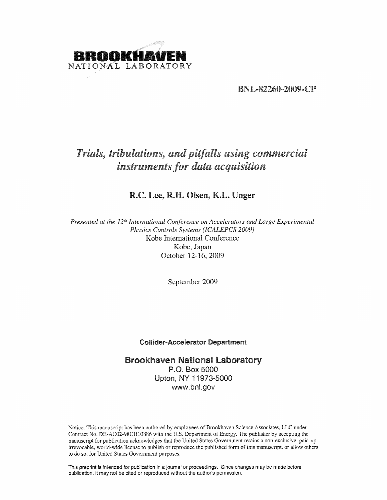

BNL-82260-2009-CP

# *Trials, tribulations, and pitfalls using commercial instrumentsfor data acquisition*

# R.C. Lee, R.H. Olsen, K.L. Unger

*Presented at the 12th International Conference on Accelerators and Large Experimental Physics Controls Systems (ICALEPCS 2009)* Kobe International Conference Kobe, Japan October 12-16, 2009

September 2009

## Cofllder-Accelerator Department

# Brookhaven National Laboratory P.o. Box 5000 Upton, NY 11973-5000 www.bnl.gov

Notice: This manuscript has been authored by employees of Brookhaven Science Associates, LLC under Contract No. DE-AC02-98CH10886 with the U.S. Department of Energy. The publisher by accepting the manuscript for publication acknowledges that the United States Government retains a non-exclusive, paid-up. irrevocable, world-wide license to publish or reproduce the published form of this manuscript, or allow others to do so. for United States Government purposes.

This preprint is intended for publication in a journal or proceedings. Since changes may be made before publlcation, it may not be cited or reproduced without the author's permission.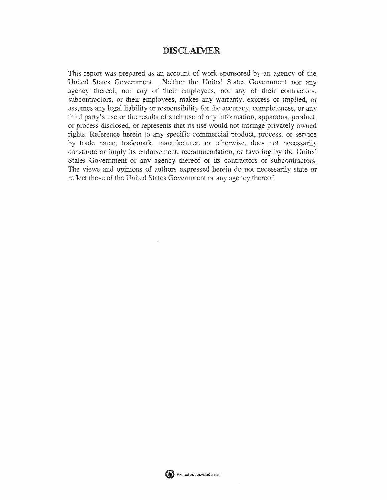# DISCLAIMER

This report was prepared as an account of work sponsored by an agency of the United States Government. Neither the United States Government nor any agency thereof, nor any of their employees, nor any of their contractors, subcontractors, or their employees, makes any warranty, express or implied, or assumes any legal liability or responsibility for the accuracy, completeness, or any third party's use or the results of such use of any information, apparatus, product, or process disclosed, or represents that its use would not infringe privately owned rights. Reference herein to any specific commercial product, process, or service by trade name, trademark, manufacturer, or otherwise, does not necessarily constitute or imply its endorsement, recommendation, or favoring by the United States Government or any agency thereof or its contractors or subcontractors. The views and opinions of authors expressed herein do not necessarily state or reflect those of the United States Government or any agency thereof.

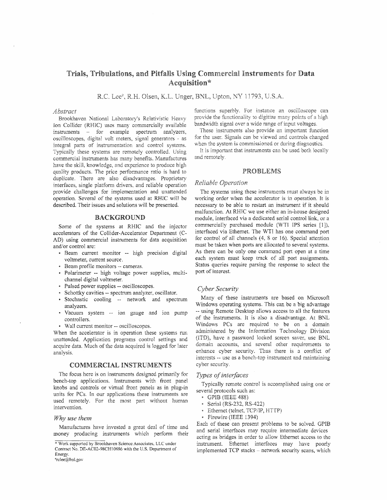## Trials, Tribulations, and Pitfalls Using Commercial Instruments for Data Acquisition\*

R.C. Lee<sup>#</sup>, R.H. Olsen, K.L. Unger, BNL, Upton, NY 11793, U.S.A.

#### *Abstract*

Brookhaven National Laboratory's Relativistic Heavy Ion Collider (RHIC) uses many commercially available instruments  $-$  for example spectrum analyzers, oscilloscopes, digital volt meters, signal generators - as integral parts of instrumentation and control systems. Typically these systems are remotely controlled. Using commercial instruments has many benefits. Manufactures have the skill, knowledge, and experience to produce high quality products. The price performance ratio is hard to duplicate. There are also disadvantages. Proprietary interfaces, single platform drivers. and reliable operation provide challenges for implementation and unattended operation. Several of the systems used at RHIC will be described. Their issues and solutions will be presented.

#### BACKGROUND

Some of the systems at RHIC and the injector accelerators of the CoUider-Accelerator Department (C-AD) using commercial instruments for data acquisition and/or control are:

- Beam current monitor -- high precision digital voltmeter, current source.
- Beam profile monitors -- cameras.
- Polarimeter -- high voltage power supplies, multichannel digital voltmeter.
- Pulsed power supplies -- oscilloscopes.
- Schottky cavities -- spectrum analyzer, oscillator.
- Stochastic cooling -- network and spectrum analyzers.
- Vacuum system -- ion gauge and ion pump controllers.
- Wall current monitor -- oscilloscopes.

When the accelerator is in operation these systems run unattended. Application programs control settings and acquire data. Much of the data acquired is logged for later analysis.

#### COMMERCIAL INSTRUMENTS

The focus here is on instruments designed primarily for bench-top applications. Instruments with front panel knobs and controls or virtual front panels as in plug-in units for PCs. In our applications these instruments are used remotely. For the most part without human intervention.

#### *Why use them*

Manufactures have invested a great deal of time and money producing instruments which perform their

"rdee@bnl.gov

functions superbly. For instance an oscilloscope can provide the functionality to digitize many points of a high bandwidth signal over a wide range of input voltages.

These instruments also provide an important function for the user. Signals can be viewed and controls changed when the system is commissioned or during diagnostics.

It is important that instruments can be used both locally and remotely.

#### PROBLEMS

#### *Reliable*

The systems using these instruments must always be in working order when the accelerator is in operation. It is necessary to be able to restart an instrument if it should malfunction. At RHIC we use either an in-house designed module, interfaced via a dedicated serial control link, or a commercially purchased module (WTI IPS series [1]), interfaced via Ethemet. The WTl has one command port for control of all channels (4, 8 or 16). Special attention must be taken when ports are allocated to several systems. As there can be only one command port open at a time each system must keep track of a11 port assignments. Status queries require parsing the response to select the port of interest.

#### *Cyber Security*

Many of these instruments are based on Microsoft Windows operating systems. This can be a big advantage -- using Remote Desktop allows access to a11 the features of the instruments. It is also a disadvantage. At BNL Windows PCs are required to be on a domain administered by the Information Technology Division (iTD), have a password locked screen saver, use BNL domain accounts, and several other requirements to enhance cyber security. Thus there is a conflict of interests -- use as a bench-top instrument and maintaining cyber security.

#### **Types** of interfaces

Typically remote control is accomplished using one or several protocols such as:

- GPlB (IEEE 488)
- Serial (RS-232, RS-422)
- Ethernet (telnet, TCP/IP, HTTP)
- Firewire (iEEE 1394)

Each of these can present problems to be solved. GPIB and serial interfaces may require intermediate devices acting as bridges in order to allow Ethernet access to the instrument. Ethernet interfaces may have poorly implemented  $TCP$  stacks  $-$  network security scans, which

<sup>\*</sup> Work supported by Brookhaven Science Associates, LLC under Contract No. DE-AC02-98CHi0886 with the U.S. Department of Energy.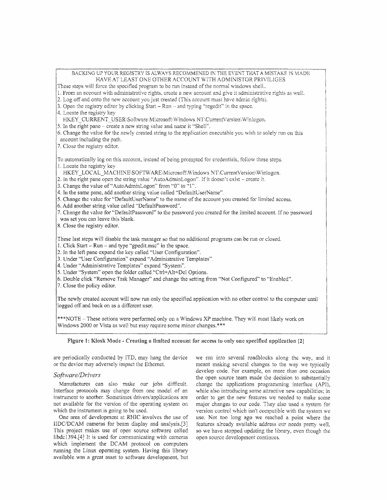| BACKING UP YOUR REGISTRY IS ALWAYS RECOMMENED IN THE EVENT THAT A MISTAKE IS MADE<br>HAVE AT LEAST ONE OTHER ACCOUNT WITH ADMINISTOR PRIVILIGES<br>These steps will force the specified program to be run instead of the normal windows shell<br>1. From an account with administrative rights, create a new account and give it administrative rights as well.<br>2. Log off and onto the new account you just created (This account must have admin rights).<br>3. Open the registry editor by clicking Start $-$ Run $-$ and typing "regedit" in the space.<br>4. Locate the registry key<br>HKEY CURRENT_USER\Software\Microsoft\Windows NT\CurrentVersion\Winlogon.<br>5. In the right pane – create a new string value and name it "Shell".<br>6. Change the value for the newly created string to the application executable you wish to solely run on this<br>account including the path.<br>7. Close the registry editor. |
|------------------------------------------------------------------------------------------------------------------------------------------------------------------------------------------------------------------------------------------------------------------------------------------------------------------------------------------------------------------------------------------------------------------------------------------------------------------------------------------------------------------------------------------------------------------------------------------------------------------------------------------------------------------------------------------------------------------------------------------------------------------------------------------------------------------------------------------------------------------------------------------------------------------------------------|
| To automatically log on this account, instead of being prompted for credentials, follow these steps.<br>1. Locate the registry key<br>HKEY LOCAL MACHINE\SOFTWARE\Microsoft\Windows NT\CurrentVersion\Winlogon.<br>2. In the right pane open the string value "AutoAdminLogon". If it doesn't exist – create it.<br>3. Change the value of "AutoAdminLogon" from "0" to "1".<br>[4. In the same pane, add another string value called "DefaultUserName".<br>5. Change the value for "DefaultUserName" to the name of the account you created for limited access.<br>6. Add another string value called "DefaultPassword".<br>7. Change the value for "DefaultPassword" to the password you created for the limited account. If no password<br>was set you can leave this blank.<br>8. Close the registry editor.                                                                                                                   |
| These last steps will disable the task manager so that no additional programs can be run or closed.<br>1. Click Start – Run – and type "gpedit, msc" in the space.<br>2. In the left pane expand the key called "User Configuration".<br>3. Under "User Configuration" expand "Administrative Templates".<br>4. Under "Administrative Templates" expand "System".<br>5. Under "System" open the folder called "Ctrl+Alt+Del Options.<br>6. Double click "Remove Task Manager" and change the setting from "Not Configured" to "Enabled".<br>7. Close the policy editor.                                                                                                                                                                                                                                                                                                                                                            |
| The newly created account will now run only the specified application with no other control to the computer until<br>logged off and back on as a different user.                                                                                                                                                                                                                                                                                                                                                                                                                                                                                                                                                                                                                                                                                                                                                                   |
| ***NOTE - These actions were performed only on a Windows XP machine. They will most likely work on<br>Windows 2000 or Vista as well but may require some minor changes.***                                                                                                                                                                                                                                                                                                                                                                                                                                                                                                                                                                                                                                                                                                                                                         |
|                                                                                                                                                                                                                                                                                                                                                                                                                                                                                                                                                                                                                                                                                                                                                                                                                                                                                                                                    |

Figure 1: Kiosk Mode - Creating a limited account for access to only one specified application [2]

are periodically conducted by LTD, may hang the device or the device may adversely impact the Ethernet.

#### *Software/Drivers*

Manufactures can also make our jobs difficult. Interface protocols may change from one model of an instrument to another. Sometimes drivers/applications are not available for the version of the operating system on which the instrument is going to be used.

One area of development at RHIC involves the use of HDC/DCAM cameras for beam display and analysis.[3] This project makes use of open source software called libdc1394.[4] It is used for communicating with cameras which implement the DCAM protocol on computers running the Linux operating system. Having this library available was a great asset to software development. but

we ran into several roadblocks along the way, and it meant making several changes to the way we typically develop code. For example, on more than one occasion the open source team made the decision to substantially change the applications programming interface (APt), while also introducing some attractive new capabilities; in order to get the new features we needed to make some major changes to our code. They also used a system for version control which isn't compatible with the system we use. Not too long ago we reached a point where the features already available address our needs pretty well, so we have stopped updating the library, even though the open source development continues.